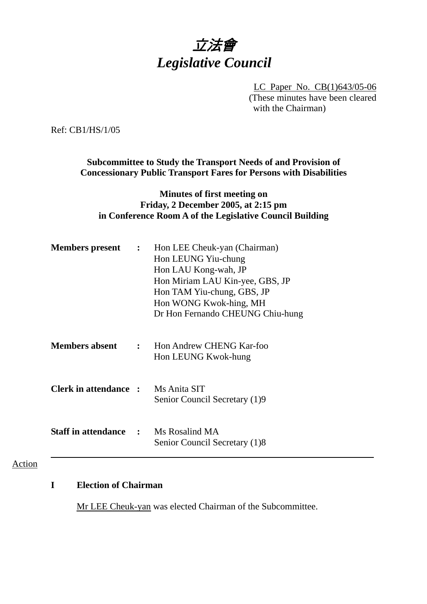# 立法會 *Legislative Council*

LC Paper No. CB(1)643/05-06 (These minutes have been cleared with the Chairman)

Ref: CB1/HS/1/05

**Subcommittee to Study the Transport Needs of and Provision of Concessionary Public Transport Fares for Persons with Disabilities** 

#### **Minutes of first meeting on Friday, 2 December 2005, at 2:15 pm in Conference Room A of the Legislative Council Building**

| <b>Members present</b>                      | : Hon LEE Cheuk-yan (Chairman)<br>Hon LEUNG Yiu-chung<br>Hon LAU Kong-wah, JP<br>Hon Miriam LAU Kin-yee, GBS, JP<br>Hon TAM Yiu-chung, GBS, JP<br>Hon WONG Kwok-hing, MH<br>Dr Hon Fernando CHEUNG Chiu-hung |
|---------------------------------------------|--------------------------------------------------------------------------------------------------------------------------------------------------------------------------------------------------------------|
| <b>Members absent</b>                       | : Hon Andrew CHENG Kar-foo<br>Hon LEUNG Kwok-hung                                                                                                                                                            |
| <b>Clerk in attendance :</b> Ms Anita SIT   | Senior Council Secretary (1)9                                                                                                                                                                                |
| <b>Staff in attendance : Ms Rosalind MA</b> | Senior Council Secretary (1)8                                                                                                                                                                                |

Action

# **I Election of Chairman**

Mr LEE Cheuk-yan was elected Chairman of the Subcommittee.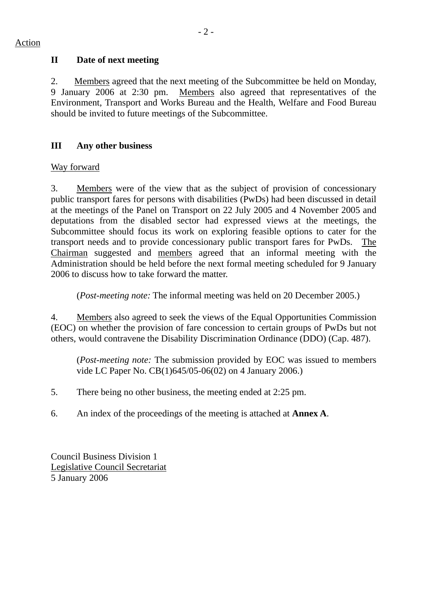## **II Date of next meeting**

2. Members agreed that the next meeting of the Subcommittee be held on Monday, 9 January 2006 at 2:30 pm. Members also agreed that representatives of the Environment, Transport and Works Bureau and the Health, Welfare and Food Bureau should be invited to future meetings of the Subcommittee.

# **III Any other business**

## Way forward

3. Members were of the view that as the subject of provision of concessionary public transport fares for persons with disabilities (PwDs) had been discussed in detail at the meetings of the Panel on Transport on 22 July 2005 and 4 November 2005 and deputations from the disabled sector had expressed views at the meetings, the Subcommittee should focus its work on exploring feasible options to cater for the transport needs and to provide concessionary public transport fares for PwDs. The Chairman suggested and members agreed that an informal meeting with the Administration should be held before the next formal meeting scheduled for 9 January 2006 to discuss how to take forward the matter.

(*Post-meeting note:* The informal meeting was held on 20 December 2005.)

4. Members also agreed to seek the views of the Equal Opportunities Commission (EOC) on whether the provision of fare concession to certain groups of PwDs but not others, would contravene the Disability Discrimination Ordinance (DDO) (Cap. 487).

(*Post-meeting note:* The submission provided by EOC was issued to members vide LC Paper No. CB(1)645/05-06(02) on 4 January 2006.)

- 5. There being no other business, the meeting ended at 2:25 pm.
- 6. An index of the proceedings of the meeting is attached at **Annex A**.

Council Business Division 1 Legislative Council Secretariat 5 January 2006